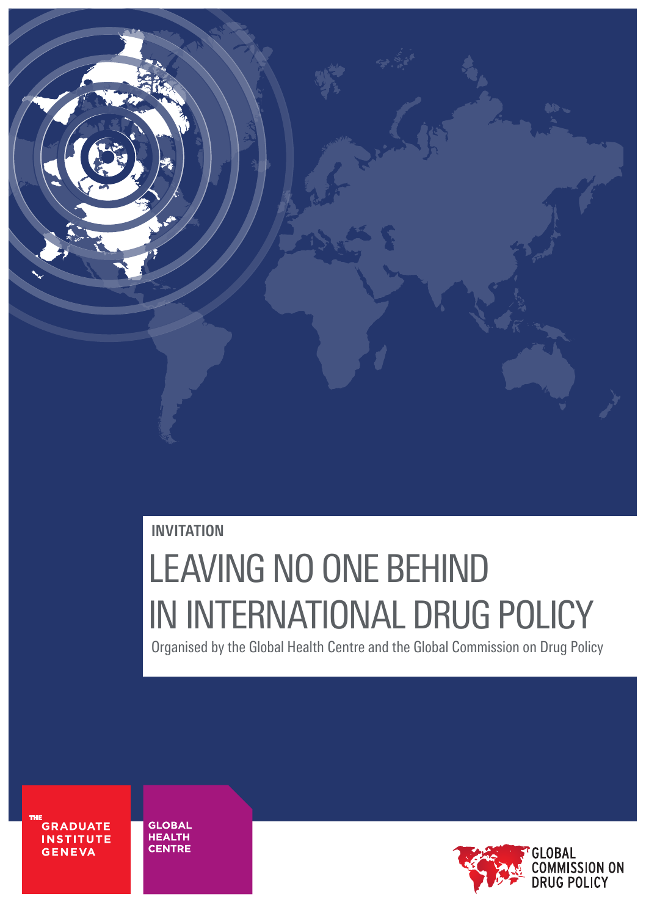

### **INVITATION**

# LEAVING NO ONE BEHIND IN INTERNATIONAL DRUG POLICY Organised by the Global Health Centre and the Global Commission on Drug Policy

**GRADUATE INSTITUTE GENEVA** 

**GLOBAL HEALTH CENTRE** 

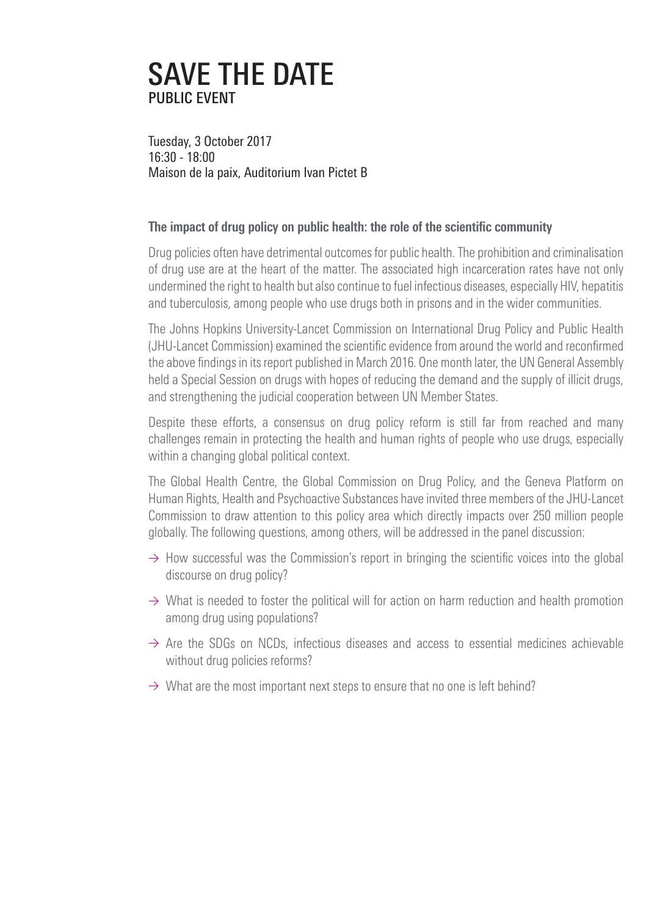## SAVE THE DATE PUBLIC EVENT

Tuesday, 3 October 2017 16:30 - 18:00 Maison de la paix, Auditorium Ivan Pictet B

#### **The impact of drug policy on public health: the role of the scientific community**

Drug policies often have detrimental outcomes for public health. The prohibition and criminalisation of drug use are at the heart of the matter. The associated high incarceration rates have not only undermined the right to health but also continue to fuel infectious diseases, especially HIV, hepatitis and tuberculosis, among people who use drugs both in prisons and in the wider communities.

The Johns Hopkins University-Lancet Commission on International Drug Policy and Public Health (JHU-Lancet Commission) examined the scientific evidence from around the world and reconfirmed the above findings in its report published in March 2016. One month later, the UN General Assembly held a Special Session on drugs with hopes of reducing the demand and the supply of illicit drugs, and strengthening the judicial cooperation between UN Member States.

Despite these efforts, a consensus on drug policy reform is still far from reached and many challenges remain in protecting the health and human rights of people who use drugs, especially within a changing global political context.

The Global Health Centre, the Global Commission on Drug Policy, and the Geneva Platform on Human Rights, Health and Psychoactive Substances have invited three members of the JHU-Lancet Commission to draw attention to this policy area which directly impacts over 250 million people globally. The following questions, among others, will be addressed in the panel discussion:

- $\rightarrow$  How successful was the Commission's report in bringing the scientific voices into the global discourse on drug policy?
- $\rightarrow$  What is needed to foster the political will for action on harm reduction and health promotion among drug using populations?
- $\rightarrow$  Are the SDGs on NCDs, infectious diseases and access to essential medicines achievable without drug policies reforms?
- $\rightarrow$  What are the most important next steps to ensure that no one is left behind?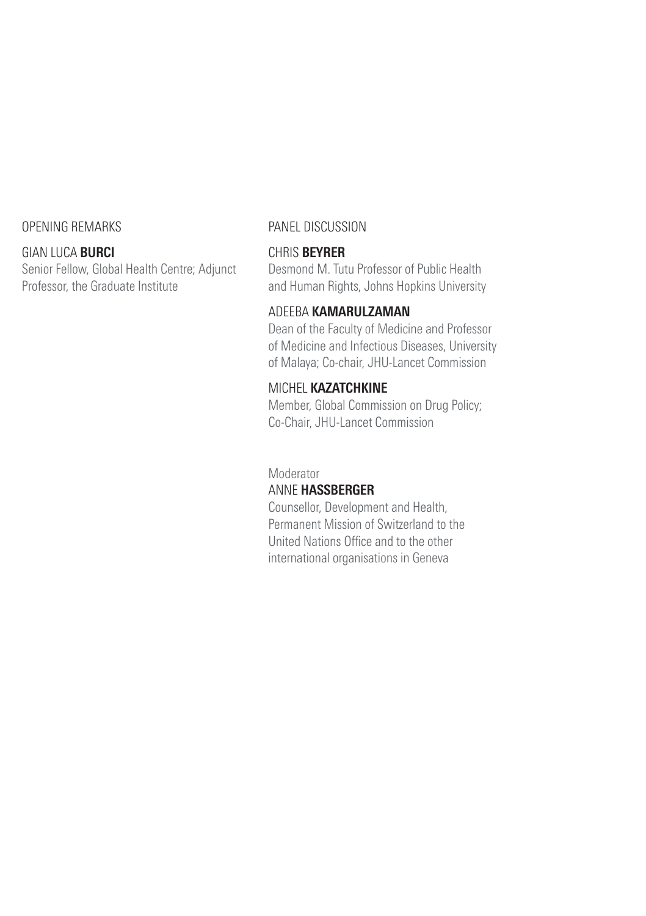#### OPENING REMARKS

#### GIAN LUCA **BURCI**

Senior Fellow, Global Health Centre; Adjunct Professor, the Graduate Institute

#### PANEL DISCUSSION

#### CHRIS **BEYRER**

Desmond M. Tutu Professor of Public Health and Human Rights, Johns Hopkins University

#### ADEEBA **KAMARULZAMAN**

Dean of the Faculty of Medicine and Professor of Medicine and Infectious Diseases, University of Malaya; Co-chair, JHU-Lancet Commission

#### MICHEL **KAZATCHKINE**

Member, Global Commission on Drug Policy; Co-Chair, JHU-Lancet Commission

#### Moderator

#### ANNE **HASSBERGER**

Counsellor, Development and Health, Permanent Mission of Switzerland to the United Nations Office and to the other international organisations in Geneva